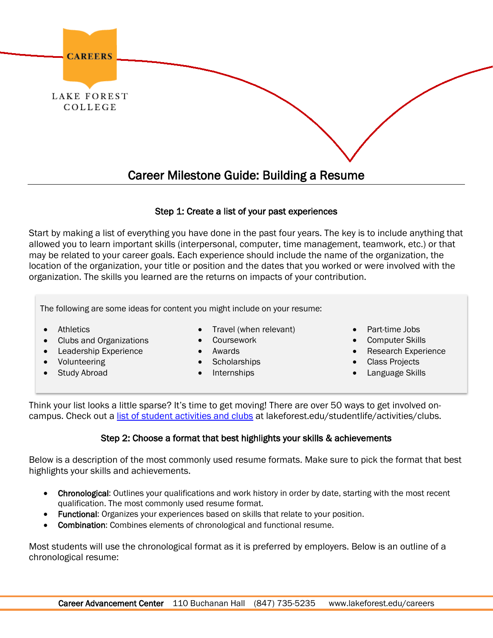

### Step 1: Create a list of your past experiences

Start by making a list of everything you have done in the past four years. The key is to include anything that allowed you to learn important skills (interpersonal, computer, time management, teamwork, etc.) or that may be related to your career goals. Each experience should include the name of the organization, the location of the organization, your title or position and the dates that you worked or were involved with the organization. The skills you learned are the returns on impacts of your contribution.

The following are some ideas for content you might include on your resume:

- Athletics
- Clubs and Organizations
- Leadership Experience
- Volunteering
- **Study Abroad**
- Travel (when relevant)
- Coursework
- Awards
- Scholarships
- Internships
- Part-time Jobs
- Computer Skills
- Research Experience
- Class Projects
- Language Skills

Think your list looks a little sparse? It's time to get moving! There are over 50 ways to get involved oncampus. Check out a [list of student activities and clubs](https://lakeforest.collegiatelink.net/organizations) at lakeforest.edu/studentlife/activities/clubs.

### Step 2: Choose a format that best highlights your skills & achievements

Below is a description of the most commonly used resume formats. Make sure to pick the format that best highlights your skills and achievements.

- Chronological: Outlines your qualifications and work history in order by date, starting with the most recent qualification. The most commonly used resume format.
- Functional: Organizes your experiences based on skills that relate to your position.
- Combination: Combines elements of chronological and functional resume.

Most students will use the chronological format as it is preferred by employers. Below is an outline of a chronological resume: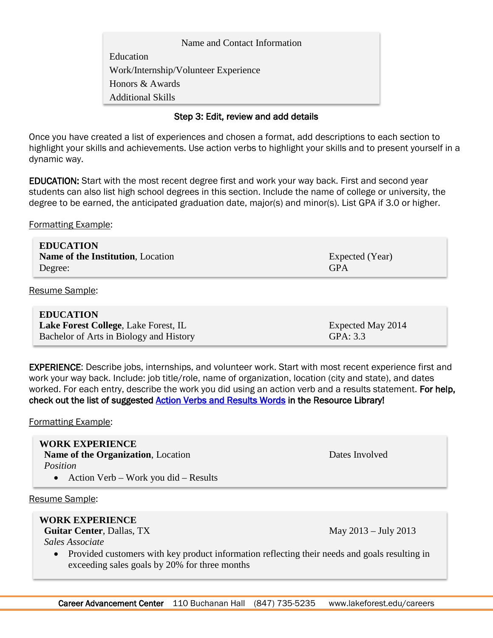Work/Internship/Volunteer Experience Name and Contact Information Education Honors & Awards Additional Skills

### Step 3: Edit, review and add details

Once you have created a list of experiences and chosen a format, add descriptions to each section to highlight your skills and achievements. Use action verbs to highlight your skills and to present yourself in a dynamic way.

EDUCATION: Start with the most recent degree first and work your way back. First and second year students can also list high school degrees in this section. Include the name of college or university, the degree to be earned, the anticipated graduation date, major(s) and minor(s). List GPA if 3.0 or higher.

Formatting Example:

| <b>EDUCATION</b>                         |                 |
|------------------------------------------|-----------------|
| <b>Name of the Institution, Location</b> | Expected (Year) |
| Degree:                                  | <b>GPA</b>      |
|                                          |                 |

Resume Sample:

**EDUCATION Lake Forest College, Lake Forest, IL Expected May 2014** Bachelor of Arts in Biology and History GPA: 3.3

EXPERIENCE: Describe jobs, internships, and volunteer work. Start with most recent experience first and work your way back. Include: job title/role, name of organization, location (city and state), and dates worked. For each entry, describe the work you did using an action verb and a results statement. For help, check out the list of suggested **Action Verbs and Results Words** in the Resource Library!

Formatting Example:

#### **WORK EXPERIENCE**

**Name of the Organization**, Location Dates Involved  *Position*

• Action Verb – Work you did – Results

Resume Sample:

### **WORK EXPERIENCE**

**Guitar Center**, Dallas, TX May 2013 – July 2013

 *Sales Associate*

• Provided customers with key product information reflecting their needs and goals resulting in exceeding sales goals by 20% for three months